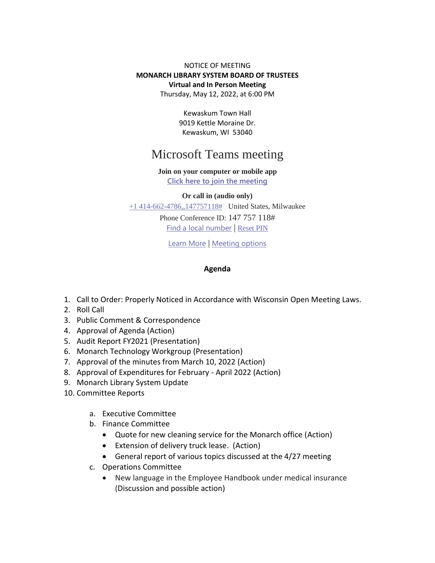## NOTICE OF MEETING **MONARCH LIBRARY SYSTEM BOARD OF TRUSTEES Virtual and In Person Meeting** Thursday, May 12, 2022, at 6:00 PM

Kewaskum Town Hall 9019 Kettle Moraine Dr. Kewaskum, WI 53040

## Microsoft Teams meeting

## **Join on your computer or mobile app**

**Click here to join the meeting**

**Or call in (audio only)**

+1 414-662-4786,,147757118# United States, Milwaukee

Phone Conference ID: 147 757 118# Find a local number | Reset PIN

Learn More | Meeting options

## **Agenda**

- 1. Call to Order: Properly Noticed in Accordance with Wisconsin Open Meeting Laws.
- 2. Roll Call
- 3. Public Comment & Correspondence
- 4. Approval of Agenda (Action)
- 5. Audit Report FY2021 (Presentation)
- 6. Monarch Technology Workgroup (Presentation)
- 7. Approval of the minutes from March 10, 2022 (Action)
- 8. Approval of Expenditures for February April 2022 (Action)
- 9. Monarch Library System Update
- 10. Committee Reports
	- a. Executive Committee
	- b. Finance Committee
		- Quote for new cleaning service for the Monarch office (Action)
		- Extension of delivery truck lease. (Action)
		- General report of various topics discussed at the 4/27 meeting
	- c. Operations Committee
		- New language in the Employee Handbook under medical insurance (Discussion and possible action)